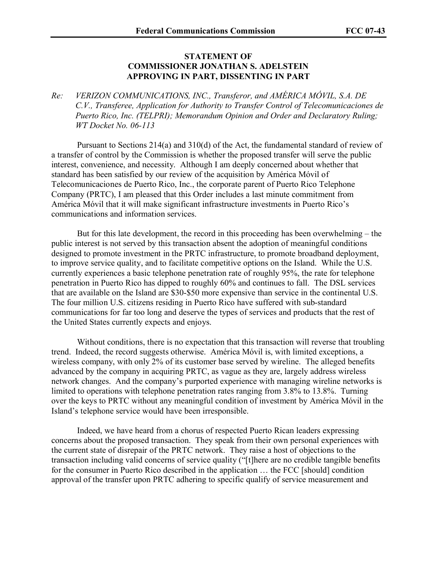## **STATEMENT OF COMMISSIONER JONATHAN S. ADELSTEIN APPROVING IN PART, DISSENTING IN PART**

*Re: VERIZON COMMUNICATIONS, INC., Transferor, and AMÉRICA MÓVIL, S.A. DE C.V., Transferee, Application for Authority to Transfer Control of Telecomunicaciones de Puerto Rico, Inc. (TELPRI); Memorandum Opinion and Order and Declaratory Ruling; WT Docket No. 06-113*

Pursuant to Sections 214(a) and 310(d) of the Act, the fundamental standard of review of a transfer of control by the Commission is whether the proposed transfer will serve the public interest, convenience, and necessity. Although I am deeply concerned about whether that standard has been satisfied by our review of the acquisition by América Móvil of Telecomunicaciones de Puerto Rico, Inc., the corporate parent of Puerto Rico Telephone Company (PRTC), I am pleased that this Order includes a last minute commitment from América Móvil that it will make significant infrastructure investments in Puerto Rico's communications and information services.

But for this late development, the record in this proceeding has been overwhelming – the public interest is not served by this transaction absent the adoption of meaningful conditions designed to promote investment in the PRTC infrastructure, to promote broadband deployment, to improve service quality, and to facilitate competitive options on the Island. While the U.S. currently experiences a basic telephone penetration rate of roughly 95%, the rate for telephone penetration in Puerto Rico has dipped to roughly 60% and continues to fall. The DSL services that are available on the Island are \$30-\$50 more expensive than service in the continental U.S. The four million U.S. citizens residing in Puerto Rico have suffered with sub-standard communications for far too long and deserve the types of services and products that the rest of the United States currently expects and enjoys.

Without conditions, there is no expectation that this transaction will reverse that troubling trend. Indeed, the record suggests otherwise. América Móvil is, with limited exceptions, a wireless company, with only 2% of its customer base served by wireline. The alleged benefits advanced by the company in acquiring PRTC, as vague as they are, largely address wireless network changes. And the company's purported experience with managing wireline networks is limited to operations with telephone penetration rates ranging from 3.8% to 13.8%. Turning over the keys to PRTC without any meaningful condition of investment by América Móvil in the Island's telephone service would have been irresponsible.

Indeed, we have heard from a chorus of respected Puerto Rican leaders expressing concerns about the proposed transaction. They speak from their own personal experiences with the current state of disrepair of the PRTC network. They raise a host of objections to the transaction including valid concerns of service quality ("[t]here are no credible tangible benefits for the consumer in Puerto Rico described in the application … the FCC [should] condition approval of the transfer upon PRTC adhering to specific qualify of service measurement and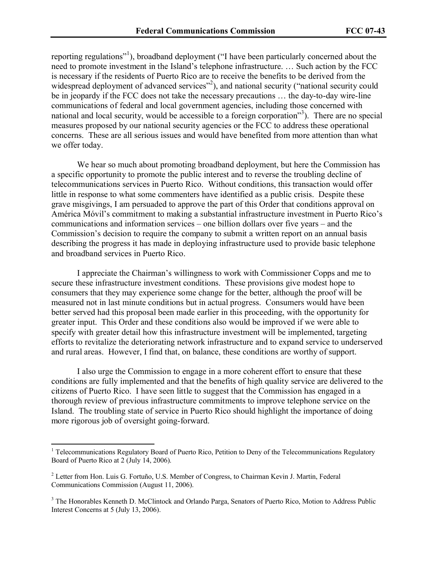reporting regulations"<sup>1</sup>), broadband deployment ("I have been particularly concerned about the need to promote investment in the Island's telephone infrastructure. … Such action by the FCC is necessary if the residents of Puerto Rico are to receive the benefits to be derived from the widespread deployment of advanced services"<sup>2</sup>), and national security ("national security could be in jeopardy if the FCC does not take the necessary precautions … the day-to-day wire-line communications of federal and local government agencies, including those concerned with national and local security, would be accessible to a foreign corporation"<sup>3</sup>). There are no special measures proposed by our national security agencies or the FCC to address these operational concerns. These are all serious issues and would have benefited from more attention than what we offer today.

We hear so much about promoting broadband deployment, but here the Commission has a specific opportunity to promote the public interest and to reverse the troubling decline of telecommunications services in Puerto Rico. Without conditions, this transaction would offer little in response to what some commenters have identified as a public crisis. Despite these grave misgivings, I am persuaded to approve the part of this Order that conditions approval on América Móvil's commitment to making a substantial infrastructure investment in Puerto Rico's communications and information services – one billion dollars over five years – and the Commission's decision to require the company to submit a written report on an annual basis describing the progress it has made in deploying infrastructure used to provide basic telephone and broadband services in Puerto Rico.

I appreciate the Chairman's willingness to work with Commissioner Copps and me to secure these infrastructure investment conditions. These provisions give modest hope to consumers that they may experience some change for the better, although the proof will be measured not in last minute conditions but in actual progress. Consumers would have been better served had this proposal been made earlier in this proceeding, with the opportunity for greater input. This Order and these conditions also would be improved if we were able to specify with greater detail how this infrastructure investment will be implemented, targeting efforts to revitalize the deteriorating network infrastructure and to expand service to underserved and rural areas. However, I find that, on balance, these conditions are worthy of support.

I also urge the Commission to engage in a more coherent effort to ensure that these conditions are fully implemented and that the benefits of high quality service are delivered to the citizens of Puerto Rico. I have seen little to suggest that the Commission has engaged in a thorough review of previous infrastructure commitments to improve telephone service on the Island. The troubling state of service in Puerto Rico should highlight the importance of doing more rigorous job of oversight going-forward.

<sup>&</sup>lt;sup>1</sup> Telecommunications Regulatory Board of Puerto Rico, Petition to Deny of the Telecommunications Regulatory Board of Puerto Rico at 2 (July 14, 2006).

<sup>2</sup> Letter from Hon. Luis G. Fortuño, U.S. Member of Congress, to Chairman Kevin J. Martin, Federal Communications Commission (August 11, 2006).

<sup>&</sup>lt;sup>3</sup> The Honorables Kenneth D. McClintock and Orlando Parga, Senators of Puerto Rico, Motion to Address Public Interest Concerns at 5 (July 13, 2006).